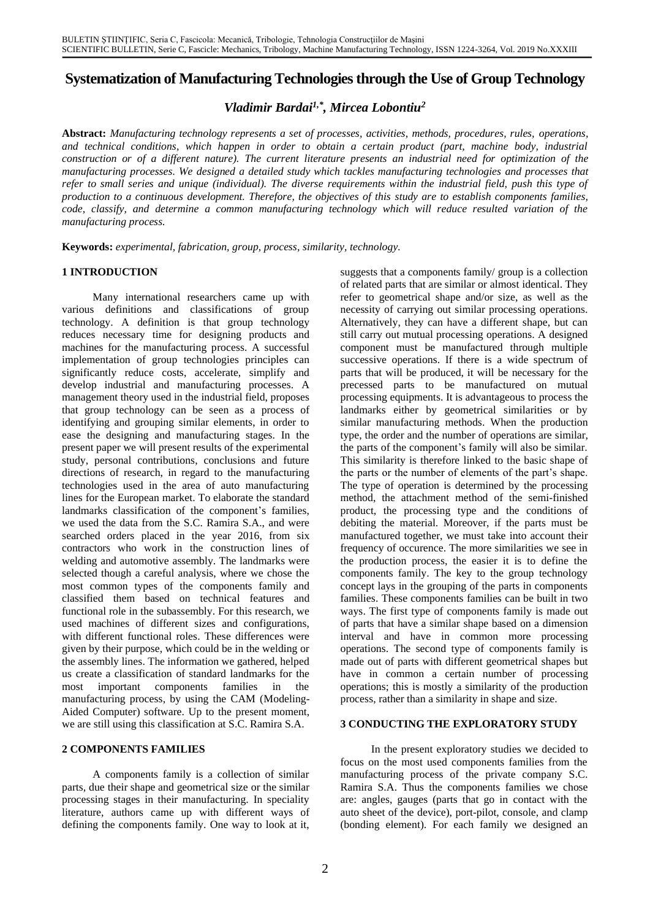# **Systematization of Manufacturing Technologies through the Use of Group Technology**

*Vladimir Bardai1,\* , Mircea Lobontiu<sup>2</sup>*

**Abstract:** *Manufacturing technology represents a set of processes, activities, methods, procedures, rules, operations, and technical conditions, which happen in order to obtain a certain product (part, machine body, industrial construction or of a different nature). The current literature presents an industrial need for optimization of the manufacturing processes. We designed a detailed study which tackles manufacturing technologies and processes that refer to small series and unique (individual). The diverse requirements within the industrial field, push this type of production to a continuous development. Therefore, the objectives of this study are to establish components families, code, classify, and determine a common manufacturing technology which will reduce resulted variation of the manufacturing process.* 

**Keywords:** *experimental, fabrication, group, process, similarity, technology.*

Many international researchers came up with various definitions and classifications of group technology. A definition is that group technology reduces necessary time for designing products and machines for the manufacturing process. A successful implementation of group technologies principles can significantly reduce costs, accelerate, simplify and develop industrial and manufacturing processes. A management theory used in the industrial field, proposes that group technology can be seen as a process of identifying and grouping similar elements, in order to ease the designing and manufacturing stages. In the present paper we will present results of the experimental study, personal contributions, conclusions and future directions of research, in regard to the manufacturing technologies used in the area of auto manufacturing lines for the European market. To elaborate the standard landmarks classification of the component's families, we used the data from the S.C. Ramira S.A., and were searched orders placed in the year 2016, from six contractors who work in the construction lines of welding and automotive assembly. The landmarks were selected though a careful analysis, where we chose the most common types of the components family and classified them based on technical features and functional role in the subassembly. For this research, we used machines of different sizes and configurations, with different functional roles. These differences were given by their purpose, which could be in the welding or the assembly lines. The information we gathered, helped us create a classification of standard landmarks for the most important components families in the manufacturing process, by using the CAM (Modeling-Aided Computer) software. Up to the present moment, we are still using this classification at S.C. Ramira S.A. **3 CONDUCTING THE EXPLORATORY STUDY**

A components family is a collection of similar parts, due their shape and geometrical size or the similar processing stages in their manufacturing. In speciality literature, authors came up with different ways of defining the components family. One way to look at it,

**1 INTRODUCTION** suggests that a components family/ group is a collection of related parts that are similar or almost identical. They refer to geometrical shape and/or size, as well as the necessity of carrying out similar processing operations. Alternatively, they can have a different shape, but can still carry out mutual processing operations. A designed component must be manufactured through multiple successive operations. If there is a wide spectrum of parts that will be produced, it will be necessary for the precessed parts to be manufactured on mutual processing equipments. It is advantageous to process the landmarks either by geometrical similarities or by similar manufacturing methods. When the production type, the order and the number of operations are similar, the parts of the component's family will also be similar. This similarity is therefore linked to the basic shape of the parts or the number of elements of the part's shape. The type of operation is determined by the processing method, the attachment method of the semi-finished product, the processing type and the conditions of debiting the material. Moreover, if the parts must be manufactured together, we must take into account their frequency of occurence. The more similarities we see in the production process, the easier it is to define the components family. The key to the group technology concept lays in the grouping of the parts in components families. These components families can be built in two ways. The first type of components family is made out of parts that have a similar shape based on a dimension interval and have in common more processing operations. The second type of components family is made out of parts with different geometrical shapes but have in common a certain number of processing operations; this is mostly a similarity of the production process, rather than a similarity in shape and size.

**2 COMPONENTS FAMILIES** In the present exploratory studies we decided to focus on the most used components families from the manufacturing process of the private company S.C. Ramira S.A. Thus the components families we chose are: angles, gauges (parts that go in contact with the auto sheet of the device), port-pilot, console, and clamp (bonding element). For each family we designed an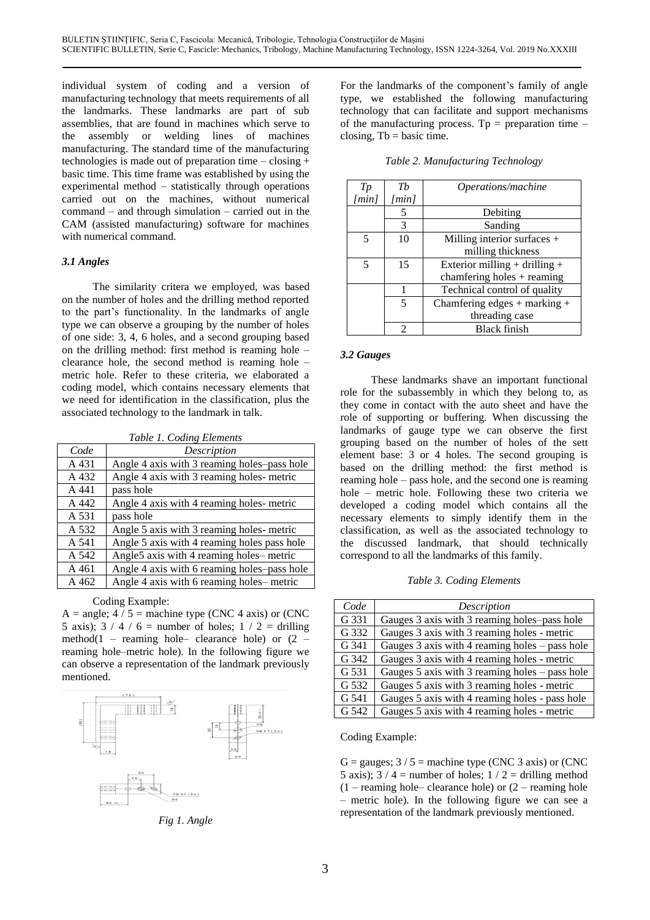individual system of coding and a version of manufacturing technology that meets requirements of all the landmarks. These landmarks are part of sub assemblies, that are found in machines which serve to the assembly or welding lines of machines manufacturing. The standard time of the manufacturing technologies is made out of preparation time – closing  $+$ basic time. This time frame was established by using the experimental method – statistically through operations carried out on the machines, without numerical command – and through simulation – carried out in the CAM (assisted manufacturing) software for machines with numerical command.

The similarity critera we employed, was based on the number of holes and the drilling method reported to the part's functionality. In the landmarks of angle type we can observe a grouping by the number of holes of one side: 3, 4, 6 holes, and a second grouping based on the drilling method: first method is reaming hole – clearance hole, the second method is reaming hole – metric hole. Refer to these criteria, we elaborated a coding model, which contains necessary elements that we need for identification in the classification, plus the associated technology to the landmark in talk.

| Code  | Description                                 |
|-------|---------------------------------------------|
| A 431 | Angle 4 axis with 3 reaming holes-pass hole |
| A 432 | Angle 4 axis with 3 reaming holes- metric   |
| A 441 | pass hole                                   |
| A 442 | Angle 4 axis with 4 reaming holes-metric    |
| A 531 | pass hole                                   |
| A 532 | Angle 5 axis with 3 reaming holes- metric   |
| A 541 | Angle 5 axis with 4 reaming holes pass hole |
| A 542 | Angle5 axis with 4 reaming holes-metric     |
| A 461 | Angle 4 axis with 6 reaming holes-pass hole |
| A 462 | Angle 4 axis with 6 reaming holes–metric    |

Coding Example:<br>*A* = angle; 4 / 5 = machine type (CNC 4 axis) or (CNC 5 axis);  $3 / 4 / 6$  = number of holes;  $1 / 2$  = drilling method(1 – reaming hole– clearance hole) or  $(2$ reaming hole–metric hole). In the following figure we can observe a representation of the landmark previously mentioned.



*Fig 1. Angle*

For the landmarks of the component's family of angle type, we established the following manufacturing technology that can facilitate and support mechanisms of the manufacturing process. Tp = preparation time  $$ closing,  $Tb = basic time$ .

| experimental method – statistically through operations  | T p               | Th                | <i>Operations/machine</i>         |
|---------------------------------------------------------|-------------------|-------------------|-----------------------------------|
| carried out on the machines, without numerical          | /min <sub>l</sub> | /min <sub>l</sub> |                                   |
| $command - and through simulation - carried out in the$ |                   |                   | Debiting                          |
| CAM (assisted manufacturing) software for machines      |                   | 3                 | Sanding                           |
| with numerical command.                                 |                   | 10                | Milling interior surfaces $+$     |
|                                                         |                   |                   | milling thickness                 |
| 3.1 Angles                                              |                   | 15                | Exterior milling $+$ drilling $+$ |
|                                                         |                   |                   | chamfering holes $+$ reaming      |
| The similarity critera we employed, was based           |                   |                   | Technical control of quality      |
| on the number of holes and the drilling method reported |                   | 5                 | Chamfering edges $+$ marking $+$  |
| to the part's functionality. In the landmarks of angle  |                   |                   | threading case                    |
| type we can observe a grouping by the number of holes   |                   | ↑                 | Black finish                      |

*Table 2. Manufacturing Technology*

### *3.2 Gauges*

These landmarks shave an important functional role for the subassembly in which they belong to, as they come in contact with the auto sheet and have the role of supporting or buffering. When discussing the landmarks of gauge type we can observe the first grouping based on the number of holes of the sett element base: 3 or 4 holes. The second grouping is based on the drilling method: the first method is reaming hole – pass hole, and the second one is reaming hole – metric hole. Following these two criteria we developed a coding model which contains all the necessary elements to simply identify them in the classification, as well as the associated technology to the discussed landmark, that should technically correspond to all the landmarks of this family.

A 462 Angle 4 axis with 6 reaming holes– metric *Table 3. Coding Elements*

| Code  | Description                                          |
|-------|------------------------------------------------------|
| G 331 | Gauges 3 axis with 3 reaming holes-pass hole         |
| G 332 | Gauges 3 axis with 3 reaming holes - metric          |
| G 341 | Gauges $3$ axis with $4$ reaming holes $-$ pass hole |
| G 342 | Gauges 3 axis with 4 reaming holes - metric          |
| G 531 | Gauges $5$ axis with $3$ reaming holes – pass hole   |
| G 532 | Gauges 5 axis with 3 reaming holes - metric          |
| G 541 | Gauges 5 axis with 4 reaming holes - pass hole       |
| G 542 | Gauges 5 axis with 4 reaming holes - metric          |

Coding Example:

G = gauges;  $3/5$  = machine type (CNC 3 axis) or (CNC 5 axis);  $3 / 4$  = number of holes;  $1 / 2$  = drilling method  $(1 -$  reaming hole– clearance hole) or  $(2 -$  reaming hole – metric hole). In the following figure we can see a representation of the landmark previously mentioned.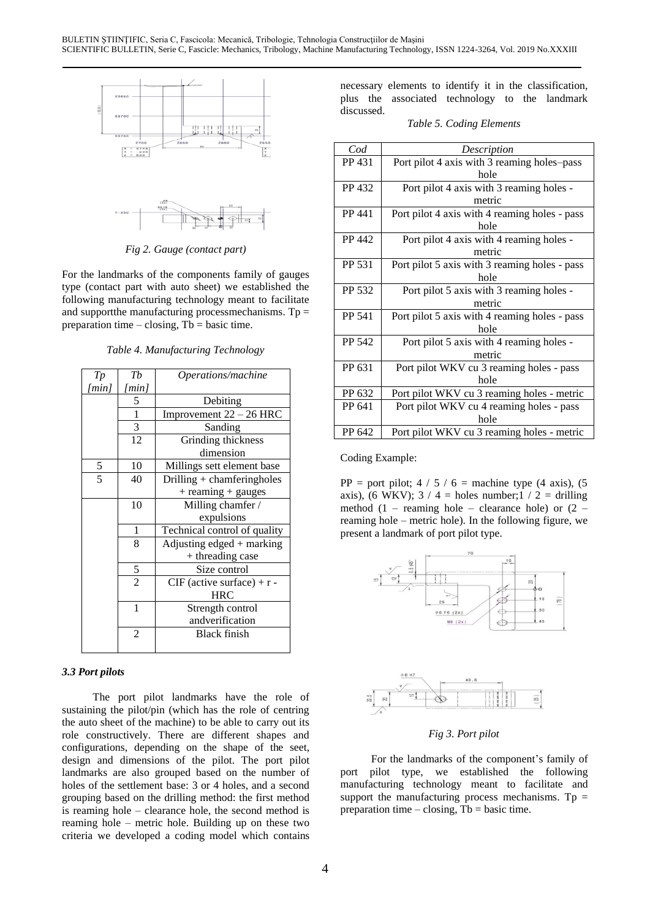



*Fig 2. Gauge (contact part)* 

For the landmarks of the components family of gauges type (contact part with auto sheet) we established the following manufacturing technology meant to facilitate and supportthe manufacturing processmechanisms.  $Tp =$ preparation time – closing,  $Tb = basic time$ .

**Table 4. Manufacturing Technology** 

|                     |                |                              | PP 631          | Port pilot WKV cu 3 re                           |
|---------------------|----------------|------------------------------|-----------------|--------------------------------------------------|
| T p                 | Tb             | Operations/machine           |                 | hole                                             |
| $\lceil min \rceil$ | [min]          |                              | PP 632          | Port pilot WKV cu 3 rea                          |
|                     | 5              | Debiting                     | PP 641          | Port pilot WKV cu 4 re                           |
|                     | 1              | Improvement $22 - 26$ HRC    |                 | hole                                             |
|                     | 3              | Sanding                      | PP 642          | Port pilot WKV cu 3 rea                          |
|                     | 12             | Grinding thickness           |                 |                                                  |
|                     |                | dimension                    | Coding Example: |                                                  |
| 5                   | 10             | Millings sett element base   |                 |                                                  |
| 5                   | 40             | Drilling $+$ chamferingholes |                 | $PP = port pilot$ ; 4 / 5 / 6 = mach             |
|                     |                | $+$ reaming $+$ gauges       |                 | axis), (6 WKV); $3 / 4$ = holes nur              |
|                     | 10             | Milling chamfer /            |                 | method $(1 - \text{reaming hole} - \text{clea})$ |
|                     |                | expulsions                   |                 | reaming hole – metric hole). In the              |
|                     | 1              | Technical control of quality |                 | present a landmark of port pilot type            |
|                     | 8              | Adjusting edged $+$ marking  |                 |                                                  |
|                     |                | + threading case             |                 | 70                                               |
|                     | 5              | Size control                 |                 |                                                  |
|                     | $\overline{2}$ | $CIF$ (active surface) + r - |                 |                                                  |
|                     |                | <b>HRC</b>                   |                 |                                                  |
|                     | 1              | Strength control             |                 | 06 F6 (2x)                                       |
|                     |                | andverification              |                 | M8 (2x                                           |
|                     | 2              | <b>Black finish</b>          |                 |                                                  |
|                     |                |                              |                 |                                                  |

### *3.3 Port pilots*

The port pilot landmarks have the role of sustaining the pilot/pin (which has the role of centring the auto sheet of the machine) to be able to carry out its role constructively. There are different shapes and configurations, depending on the shape of the seet, design and dimensions of the pilot. The port pilot landmarks are also grouped based on the number of holes of the settlement base: 3 or 4 holes, and a second grouping based on the drilling method: the first method is reaming hole – clearance hole, the second method is reaming hole – metric hole. Building up on these two criteria we developed a coding model which contains necessary elements to identify it in the classification, plus the associated technology to the landmark discussed.

*Table 5. Coding Elements*

| <b>Z700</b>                                                         | Z650<br><b>Z600</b><br><b>Z660</b>                                             |                 |                                             |                                               |
|---------------------------------------------------------------------|--------------------------------------------------------------------------------|-----------------|---------------------------------------------|-----------------------------------------------|
| $\begin{array}{c} 3748 \\ -236 \\ 633 \end{array}$<br>$\frac{x}{x}$ |                                                                                | $\mathcal{C}od$ | Description                                 |                                               |
|                                                                     |                                                                                | PP 431          | Port pilot 4 axis with 3 reaming holes-pass |                                               |
|                                                                     |                                                                                |                 | hole                                        |                                               |
|                                                                     |                                                                                |                 | PP 432                                      | Port pilot 4 axis with 3 reaming holes -      |
| ಗಳಿ                                                                 |                                                                                |                 |                                             | metric                                        |
|                                                                     | 백력                                                                             |                 | PP 441                                      | Port pilot 4 axis with 4 reaming holes - pass |
|                                                                     |                                                                                |                 |                                             | hole                                          |
|                                                                     |                                                                                |                 | PP 442                                      | Port pilot 4 axis with 4 reaming holes -      |
|                                                                     | g 2. Gauge (contact part)                                                      |                 |                                             | metric                                        |
|                                                                     |                                                                                |                 | PP 531                                      | Port pilot 5 axis with 3 reaming holes - pass |
|                                                                     | ks of the components family of gauges                                          |                 |                                             | hole                                          |
|                                                                     | art with auto sheet) we established the                                        |                 | PP 532                                      | Port pilot 5 axis with 3 reaming holes -      |
|                                                                     | facturing technology meant to facilitate                                       |                 |                                             | metric                                        |
|                                                                     | nanufacturing processmechanisms. $Tp =$                                        |                 | PP 541                                      | Port pilot 5 axis with 4 reaming holes - pass |
|                                                                     | $-\text{closing}, \text{Tb} = \text{basic time}.$                              |                 |                                             | hole                                          |
|                                                                     |                                                                                |                 | PP 542                                      | Port pilot 5 axis with 4 reaming holes -      |
|                                                                     | 4. Manufacturing Technology                                                    |                 |                                             | metric                                        |
|                                                                     |                                                                                |                 | PP 631                                      | Port pilot WKV cu 3 reaming holes - pass      |
| $\mathbb{r}_b$                                                      | Operations/machine                                                             |                 |                                             | hole                                          |
| iin]                                                                |                                                                                |                 | PP 632                                      | Port pilot WKV cu 3 reaming holes - metric    |
| 5                                                                   | Debiting                                                                       |                 | PP 641                                      | Port pilot WKV cu 4 reaming holes - pass      |
| $\frac{1}{3}$<br>Improvement $22 - 26$ HRC                          |                                                                                |                 | hole                                        |                                               |
| $\overline{ }$                                                      | Sanding<br>$C_{\rm min}$ and $C_{\rm max}$ and $C_{\rm max}$ and $C_{\rm max}$ |                 | PP 642                                      | Port pilot WKV cu 3 reaming holes - metric    |
|                                                                     |                                                                                |                 |                                             |                                               |

PP = port pilot;  $4 / 5 / 6$  = machine type (4 axis), (5 axis), (6 WKV);  $3 / 4$  = holes number;  $1 / 2$  = drilling method  $(1 -$  reaming hole – clearance hole) or  $(2$ reaming hole – metric hole). In the following figure, we present a landmark of port pilot type.





### *Fig 3. Port pilot*

For the landmarks of the component's family of port pilot type, we established the following manufacturing technology meant to facilitate and support the manufacturing process mechanisms. Tp  $=$ preparation time – closing,  $Tb = basic$  time.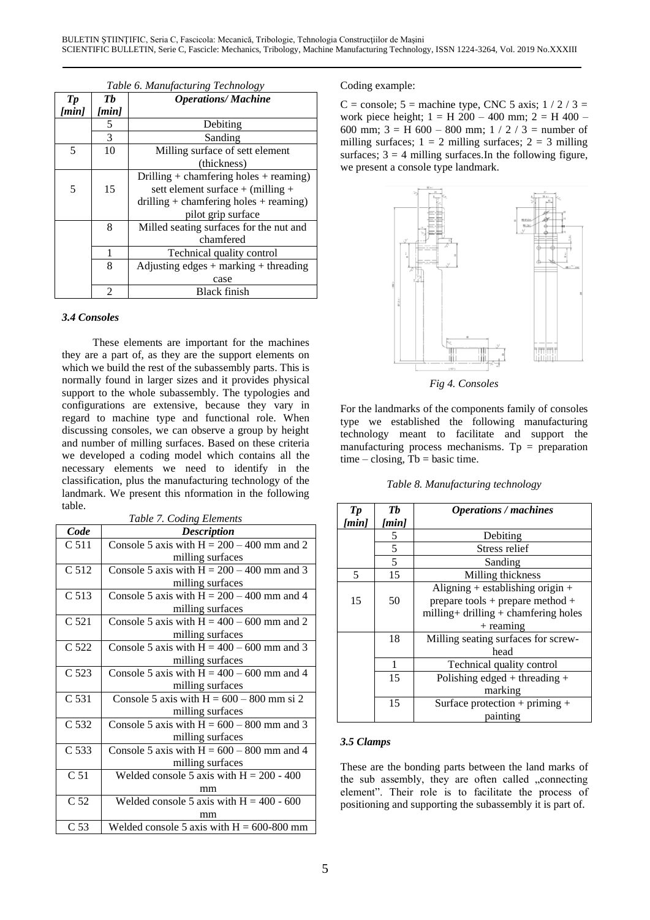|                 | Table 6. Manufacturing Technology |                                           |  |  |  |
|-----------------|-----------------------------------|-------------------------------------------|--|--|--|
| $\mathcal{T} p$ | Тh                                | <b>Operations/Machine</b>                 |  |  |  |
| [min]           | [min]                             |                                           |  |  |  |
|                 | 5                                 | Debiting                                  |  |  |  |
|                 | 3                                 | Sanding                                   |  |  |  |
| 5               | 10                                | Milling surface of sett element           |  |  |  |
|                 |                                   | (thickness)                               |  |  |  |
|                 |                                   | Drilling + chamfering holes + reaming)    |  |  |  |
| 5               | 15                                | sett element surface + (milling +         |  |  |  |
|                 |                                   | drilling + chamfering holes + reaming)    |  |  |  |
|                 |                                   | pilot grip surface                        |  |  |  |
|                 | 8                                 | Milled seating surfaces for the nut and   |  |  |  |
|                 |                                   | chamfered                                 |  |  |  |
|                 |                                   | Technical quality control                 |  |  |  |
|                 | 8                                 | Adjusting edges $+$ marking $+$ threading |  |  |  |
|                 |                                   | case                                      |  |  |  |
|                 | $\mathfrak{D}$                    | Black finish                              |  |  |  |

### *3.4 Consoles*

These elements are important for the machines they are a part of, as they are the support elements on which we build the rest of the subassembly parts. This is normally found in larger sizes and it provides physical support to the whole subassembly. The typologies and configurations are extensive, because they vary in regard to machine type and functional role. When discussing consoles, we can observe a group by height and number of milling surfaces. Based on these criteria we developed a coding model which contains all the necessary elements we need to identify in the classification, plus the manufacturing technology of the landmark. We present this nformation in the following table.

| uuviv.           |                                              | $\boldsymbol{I} \boldsymbol{p}$ | Tb    | <b>Operations</b> / me                   |
|------------------|----------------------------------------------|---------------------------------|-------|------------------------------------------|
|                  | Table 7. Coding Elements                     | [min]                           | [min] |                                          |
| Code             | <b>Description</b>                           |                                 | 5     | Debiting                                 |
| C 511            | Console 5 axis with $H = 200 - 400$ mm and 2 |                                 | 5     | Stress reli                              |
|                  | milling surfaces                             |                                 | 5     | Sanding                                  |
| C 512            | Console 5 axis with $H = 200 - 400$ mm and 3 | 5                               | 15    | Milling thick                            |
|                  | milling surfaces                             |                                 |       | Aligning $+$ establish                   |
| C <sub>513</sub> | Console 5 axis with $H = 200 - 400$ mm and 4 | 15                              | 50    | prepare tools + prepa                    |
|                  | milling surfaces                             |                                 |       | milling + drilling + cha                 |
| C 521            | Console 5 axis with $H = 400 - 600$ mm and 2 |                                 |       | $+$ reaming                              |
|                  | milling surfaces                             |                                 | 18    | Milling seating surfac                   |
| C 522            | Console 5 axis with $H = 400 - 600$ mm and 3 |                                 |       | head                                     |
|                  | milling surfaces                             |                                 | 1     | Technical quality                        |
| C <sub>523</sub> | Console 5 axis with $H = 400 - 600$ mm and 4 |                                 | 15    | Polishing edged $+$ t                    |
|                  | milling surfaces                             |                                 |       | marking                                  |
| C 531            | Console 5 axis with $H = 600 - 800$ mm si 2  |                                 | 15    | Surface protection -                     |
|                  | milling surfaces                             |                                 |       | painting                                 |
| C 532            | Console 5 axis with $H = 600 - 800$ mm and 3 |                                 |       |                                          |
|                  | milling surfaces                             | 3.5 Clamps                      |       |                                          |
| C 533            | Console 5 axis with $H = 600 - 800$ mm and 4 |                                 |       |                                          |
|                  | milling surfaces                             |                                 |       | These are the bonding parts between the  |
| C 51             | Welded console 5 axis with $H = 200 - 400$   |                                 |       | the sub assembly, they are often calle   |
|                  | mm                                           |                                 |       | element". Their role is to facilitate t  |
| C <sub>52</sub>  | Welded console 5 axis with $H = 400 - 600$   |                                 |       | positioning and supporting the subassemb |
|                  | mm                                           |                                 |       |                                          |
| C <sub>53</sub>  | Welded console 5 axis with $H = 600-800$ mm  |                                 |       |                                          |

## *Table 6. Manufacturing Technology* Coding example:

 $C = \text{console}$ ; 5 = machine type, CNC 5 axis; 1 / 2 / 3 = work piece height;  $1 = H\ 200 - 400$  mm;  $2 = H\ 400 -$ 600 mm;  $3 = H$  600 – 800 mm;  $1 / 2 / 3 =$  number of milling surfaces;  $1 = 2$  milling surfaces;  $2 = 3$  milling surfaces;  $3 = 4$  milling surfaces. In the following figure, we present a console type landmark.



*Fig 4. Consoles*

For the landmarks of the components family of consoles type we established the following manufacturing technology meant to facilitate and support the manufacturing process mechanisms. Tp = preparation  $time - closing$ ,  $Tb = basic time$ .

*Table 8. Manufacturing technology*

|                                       | $\mathbf{p}$ | Th    | <b>Operations / machines</b>          |
|---------------------------------------|--------------|-------|---------------------------------------|
| oding Elements <sup>-</sup>           | min]         | [min] |                                       |
| <b>Description</b>                    |              | 5     | Debiting                              |
| with $H = 200 - 400$ mm and 2         |              | 5     | Stress relief                         |
| milling surfaces                      |              | 5     | Sanding                               |
| with $H = 200 - 400$ mm and 3         | 5            | 15    | Milling thickness                     |
| milling surfaces                      |              |       | Aligning + establishing origin +      |
| with $H = 200 - 400$ mm and 4         | 15           | 50    | prepare tools + prepare method +      |
| milling surfaces                      |              |       | milling + drilling + chamfering holes |
| with $H = 400 - 600$ mm and 2         |              |       | $+$ reaming                           |
| milling surfaces                      |              | 18    | Milling seating surfaces for screw-   |
| with $H = 400 - 600$ mm and 3         |              |       | head                                  |
| milling surfaces                      |              |       | Technical quality control             |
| with $H = 400 - 600$ mm and 4         |              | 15    | Polishing edged + threading +         |
| milling surfaces                      |              |       | marking                               |
| s with $H = 600 - 800$ mm si 2        |              | 15    | Surface protection + priming +        |
| milling surfaces                      |              |       | painting                              |
| $\sim$<br>$\cdot$ 1 TT $\sim$ 000 000 |              |       |                                       |

## 3.5 Clamps

These are the bonding parts between the land marks of the sub assembly, they are often called "connecting element". Their role is to facilitate the process of positioning and supporting the subassembly it is part of.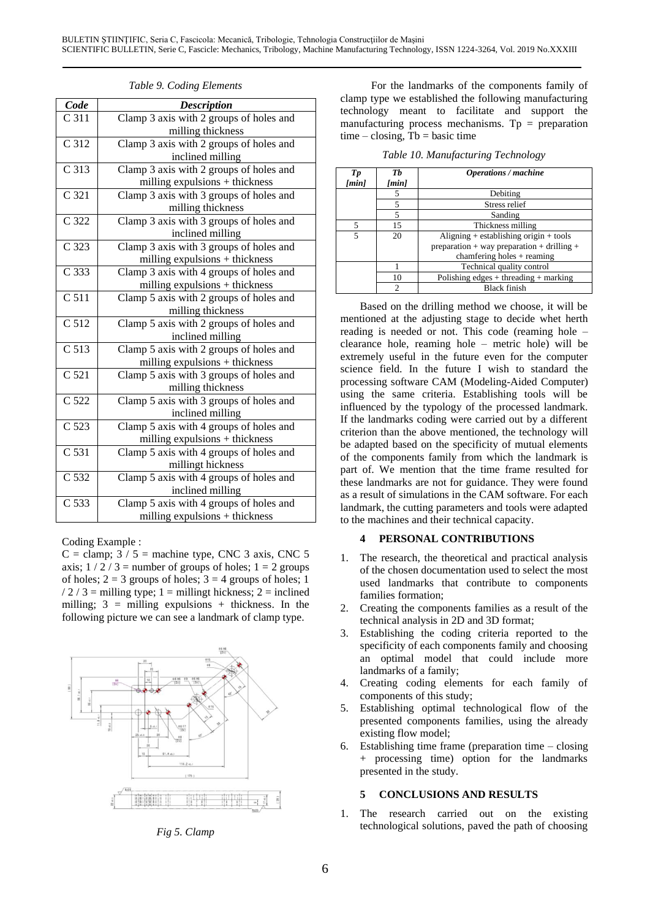| Code             | <b>Description</b>                      |        |                | clamp type we established the following manu<br>technology meant to facilitate and sup          |
|------------------|-----------------------------------------|--------|----------------|-------------------------------------------------------------------------------------------------|
| C <sub>311</sub> | Clamp 3 axis with 2 groups of holes and |        |                | manufacturing process mechanisms. Tp = pr                                                       |
|                  | milling thickness                       |        |                | $time - closing$ , $Tb = basic time$                                                            |
| C 312            | Clamp 3 axis with 2 groups of holes and |        |                |                                                                                                 |
|                  | inclined milling                        |        |                | Table 10. Manufacturing Technology                                                              |
| C 313            | Clamp 3 axis with 2 groups of holes and | T p    | Tb             | <b>Operations / machine</b>                                                                     |
|                  | milling expulsions $+$ thickness        | [min]  | [min]          |                                                                                                 |
| C 321            | Clamp 3 axis with 3 groups of holes and |        | 5              | Debiting                                                                                        |
|                  | milling thickness                       |        | 5              | Stress relief                                                                                   |
| C 322            | Clamp 3 axis with 3 groups of holes and |        | 5<br>15        | Sanding                                                                                         |
|                  | inclined milling                        | 5<br>5 | 20             | Thickness milling<br>Aligning $+$ establishing origin                                           |
| C 323            | Clamp 3 axis with 3 groups of holes and |        |                | preparation + way preparation + $\alpha$                                                        |
|                  | milling expulsions $+$ thickness        |        |                | chamfering holes $+$ reamin                                                                     |
| C 333            | Clamp 3 axis with 4 groups of holes and |        | $\mathbf{1}$   | Technical quality control                                                                       |
|                  | milling expulsions + thickness          |        | 10             | Polishing edges $+$ threading $+$ n                                                             |
| C 511            | Clamp 5 axis with 2 groups of holes and |        | $\mathfrak{D}$ | <b>Black finish</b>                                                                             |
|                  | milling thickness                       |        |                | Based on the drilling method we choose,                                                         |
| C <sub>512</sub> | Clamp 5 axis with 2 groups of holes and |        |                | mentioned at the adjusting stage to decide w                                                    |
|                  | inclined milling                        |        |                | reading is needed or not. This code (reamin                                                     |
| C 513            | Clamp 5 axis with 2 groups of holes and |        |                | clearance hole, reaming hole - metric hole)                                                     |
|                  | milling expulsions + thickness          |        |                | extremely useful in the future even for the                                                     |
| C <sub>521</sub> | Clamp 5 axis with 3 groups of holes and |        |                | science field. In the future I wish to stan                                                     |
|                  | milling thickness                       |        |                | processing software CAM (Modeling-Aided C                                                       |
| C 522            | Clamp 5 axis with 3 groups of holes and |        |                | using the same criteria. Establishing tools                                                     |
|                  | inclined milling                        |        |                | influenced by the typology of the processed 1                                                   |
| C <sub>523</sub> | Clamp 5 axis with 4 groups of holes and |        |                | If the landmarks coding were carried out by a<br>criterion than the above mentioned, the techno |
|                  | milling expulsions + thickness          |        |                | be adapted based on the specificity of mutual                                                   |
| C 531            | Clamp 5 axis with 4 groups of holes and |        |                | of the components family from which the lan                                                     |
|                  | millingt hickness                       |        |                |                                                                                                 |
| C 532            | Clamp 5 axis with 4 groups of holes and |        |                | part of. We mention that the time frame res                                                     |
|                  | inclined milling                        |        |                | these landmarks are not for guidance. They we                                                   |
| C 533            | Clamp 5 axis with 4 groups of holes and |        |                | as a result of simulations in the CAM software.                                                 |
|                  | milling expulsions $+$ thickness        |        |                | landmark, the cutting parameters and tools were                                                 |
|                  |                                         |        |                | to the machines and their technical capacity.                                                   |

 $C =$  clamp;  $3 / 5 =$  machine type, CNC 3 axis, CNC 5 axis;  $1/2/3$  = number of groups of holes;  $1 = 2$  groups of holes;  $2 = 3$  groups of holes;  $3 = 4$  groups of holes; 1 /  $2$  /  $3$  = milling type; 1 = millingt hickness; 2 = inclined milling;  $3 =$  milling expulsions + thickness. In the following picture we can see a landmark of clamp type.



*Table 9. Coding Elements* For the landmarks of the components family of clamp type we established the following manufacturing technology meant to facilitate and support the manufacturing process mechanisms. Tp = preparation time – closing,  $Tb = basic time$ 

|  |  | Table 10. Manufacturing Technology |  |
|--|--|------------------------------------|--|
|  |  |                                    |  |

| is with 2 groups of holes and                                         |  | Tp    | Тb    | <b>Operations / machine</b>                |
|-----------------------------------------------------------------------|--|-------|-------|--------------------------------------------|
| $\frac{1}{2}$ expulsions + thickness                                  |  | [min] | [min] |                                            |
| is with 3 groups of holes and                                         |  |       |       | Debiting                                   |
| milling thickness                                                     |  |       |       | Stress relief                              |
|                                                                       |  |       |       | Sanding                                    |
| is with 3 groups of holes and                                         |  |       | 15    | Thickness milling                          |
| inclined milling                                                      |  | 5     | 20    | Aligning $+$ establishing origin $+$ tools |
| is with 3 groups of holes and                                         |  |       |       | preparation + way preparation + drilling + |
| $\frac{1}{2}$ expulsions + thickness                                  |  |       |       | chamfering holes $+$ reaming               |
|                                                                       |  |       |       | Technical quality control                  |
| is with 4 groups of holes and<br>$\frac{1}{2}$ expulsions + thickness |  |       | 10    | Polishing edges $+$ threading $+$ marking  |
|                                                                       |  |       | າ     | <b>Black finish</b>                        |
|                                                                       |  |       |       |                                            |

Based on the drilling method we choose, it will be mentioned at the adjusting stage to decide whet herth reading is needed or not. This code (reaming hole – clearance hole, reaming hole – metric hole) will be extremely useful in the future even for the computer science field. In the future I wish to standard the processing software CAM (Modeling-Aided Computer) using the same criteria. Establishing tools will be influenced by the typology of the processed landmark. If the landmarks coding were carried out by a different criterion than the above mentioned, the technology will be adapted based on the specificity of mutual elements of the components family from which the landmark is part of. We mention that the time frame resulted for these landmarks are not for guidance. They were found as a result of simulations in the CAM software. For each landmark, the cutting parameters and tools were adapted to the machines and their technical capacity.

# Coding Example : **4 PERSONAL CONTRIBUTIONS**

- 1. The research, the theoretical and practical analysis of the chosen documentation used to select the most used landmarks that contribute to components families formation;
- 2. Creating the components families as a result of the technical analysis in 2D and 3D format;
- 3. Establishing the coding criteria reported to the specificity of each components family and choosing an optimal model that could include more landmarks of a family;
- 4. Creating coding elements for each family of components of this study;
- 5. Establishing optimal technological flow of the presented components families, using the already existing flow model;
- 6. Establishing time frame (preparation time closing + processing time) option for the landmarks presented in the study.

## **5 CONCLUSIONS AND RESULTS**

1. The research carried out on the existing technological solutions, paved the path of choosing *Fig 5. Clamp*